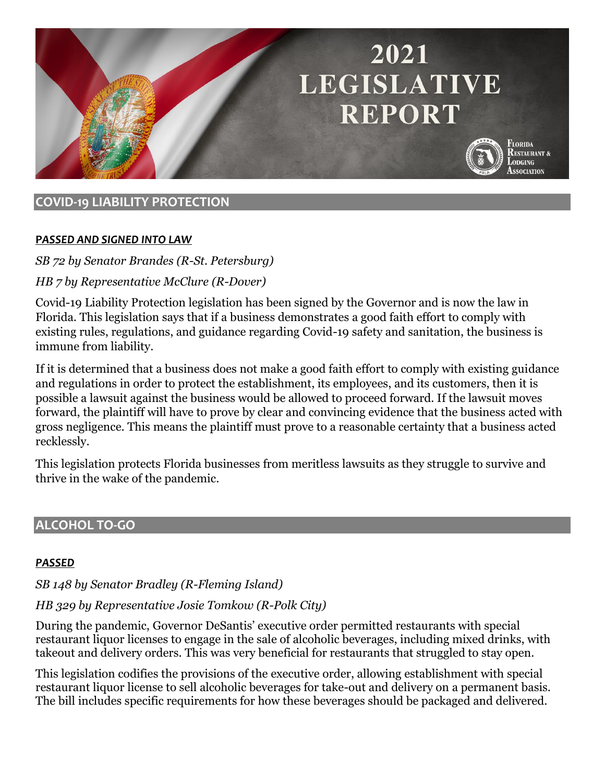# 2021 **LEGISLATIVE REPORT**



Florida **RESTAURANT & ODGING Association** 

# **COVID-19 LIABILITY PROTECTION**

#### **P***ASSED AND SIGNED INTO LAW*

*SB 72 by Senator Brandes (R-St. Petersburg)*

# *HB 7 by Representative McClure (R-Dover)*

Covid-19 Liability Protection legislation has been signed by the Governor and is now the law in Florida. This legislation says that if a business demonstrates a good faith effort to comply with existing rules, regulations, and guidance regarding Covid-19 safety and sanitation, the business is immune from liability.

If it is determined that a business does not make a good faith effort to comply with existing guidance and regulations in order to protect the establishment, its employees, and its customers, then it is possible a lawsuit against the business would be allowed to proceed forward. If the lawsuit moves forward, the plaintiff will have to prove by clear and convincing evidence that the business acted with gross negligence. This means the plaintiff must prove to a reasonable certainty that a business acted recklessly.

This legislation protects Florida businesses from meritless lawsuits as they struggle to survive and thrive in the wake of the pandemic.

# **ALCOHOL TO-GO**

#### *PASSED*

*SB 148 by Senator Bradley (R-Fleming Island)*

# *HB 329 by Representative Josie Tomkow (R-Polk City)*

During the pandemic, Governor DeSantis' executive order permitted restaurants with special restaurant liquor licenses to engage in the sale of alcoholic beverages, including mixed drinks, with takeout and delivery orders. This was very beneficial for restaurants that struggled to stay open.

This legislation codifies the provisions of the executive order, allowing establishment with special restaurant liquor license to sell alcoholic beverages for take-out and delivery on a permanent basis. The bill includes specific requirements for how these beverages should be packaged and delivered.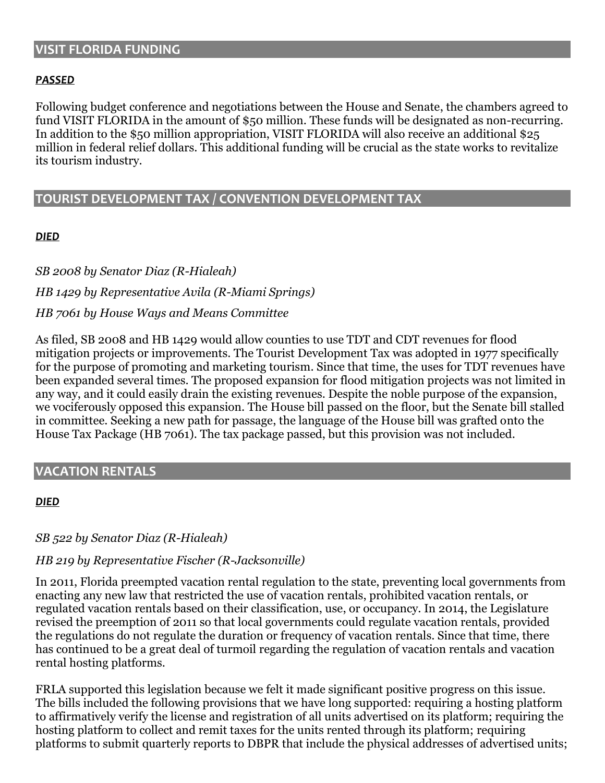#### **VISIT FLORIDA FUNDING**

#### *PASSED*

Following budget conference and negotiations between the House and Senate, the chambers agreed to fund VISIT FLORIDA in the amount of \$50 million. These funds will be designated as non-recurring. In addition to the \$50 million appropriation, VISIT FLORIDA will also receive an additional \$25 million in federal relief dollars. This additional funding will be crucial as the state works to revitalize its tourism industry.

#### **TOURIST DEVELOPMENT TAX / CONVENTION DEVELOPMENT TAX**

#### *DIED*

*SB 2008 by Senator Diaz (R-Hialeah) HB 1429 by Representative Avila (R-Miami Springs) HB 7061 by House Ways and Means Committee*

As filed, SB 2008 and HB 1429 would allow counties to use TDT and CDT revenues for flood mitigation projects or improvements. The Tourist Development Tax was adopted in 1977 specifically for the purpose of promoting and marketing tourism. Since that time, the uses for TDT revenues have been expanded several times. The proposed expansion for flood mitigation projects was not limited in any way, and it could easily drain the existing revenues. Despite the noble purpose of the expansion, we vociferously opposed this expansion. The House bill passed on the floor, but the Senate bill stalled in committee. Seeking a new path for passage, the language of the House bill was grafted onto the House Tax Package (HB 7061). The tax package passed, but this provision was not included.

#### **VACATION RENTALS**

#### *DIED*

#### *SB 522 by Senator Diaz (R-Hialeah)*

#### *HB 219 by Representative Fischer (R-Jacksonville)*

In 2011, Florida preempted vacation rental regulation to the state, preventing local governments from enacting any new law that restricted the use of vacation rentals, prohibited vacation rentals, or regulated vacation rentals based on their classification, use, or occupancy. In 2014, the Legislature revised the preemption of 2011 so that local governments could regulate vacation rentals, provided the regulations do not regulate the duration or frequency of vacation rentals. Since that time, there has continued to be a great deal of turmoil regarding the regulation of vacation rentals and vacation rental hosting platforms.

FRLA supported this legislation because we felt it made significant positive progress on this issue. The bills included the following provisions that we have long supported: requiring a hosting platform to affirmatively verify the license and registration of all units advertised on its platform; requiring the hosting platform to collect and remit taxes for the units rented through its platform; requiring platforms to submit quarterly reports to DBPR that include the physical addresses of advertised units;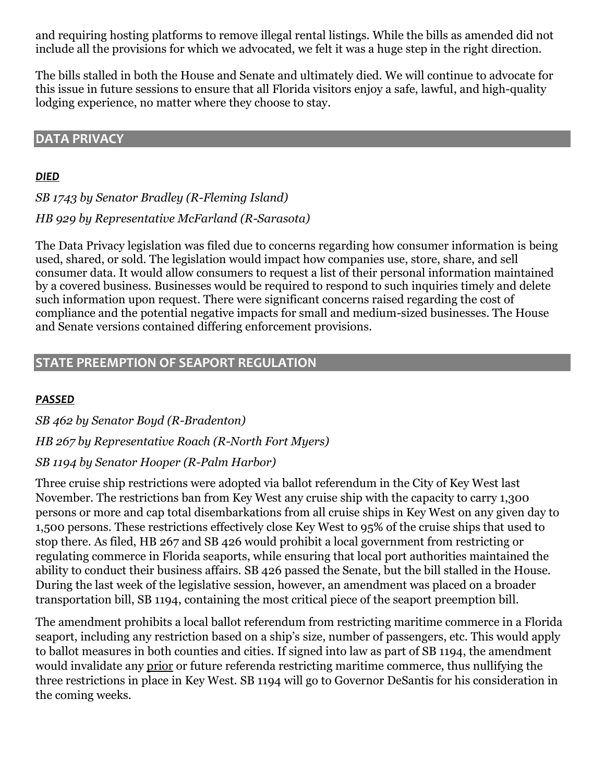and requiring hosting platforms to remove illegal rental listings. While the bills as amended did not include all the provisions for which we advocated, we felt it was a huge step in the right direction.

The bills stalled in both the House and Senate and ultimately died. We will continue to advocate for this issue in future sessions to ensure that all Florida visitors enjoy a safe, lawful, and high-quality lodging experience, no matter where they choose to stay.

#### **DATA PRIVACY**

#### *DIED*

*SB 1743 by Senator Bradley (R-Fleming Island)*

*HB 929 by Representative McFarland (R-Sarasota)*

The Data Privacy legislation was filed due to concerns regarding how consumer information is being used, shared, or sold. The legislation would impact how companies use, store, share, and sell consumer data. It would allow consumers to request a list of their personal information maintained by a covered business. Businesses would be required to respond to such inquiries timely and delete such information upon request. There were significant concerns raised regarding the cost of compliance and the potential negative impacts for small and medium-sized businesses. The House and Senate versions contained differing enforcement provisions.

### **STATE PREEMPTION OF SEAPORT REGULATION**

#### *PASSED*

*SB 462 by Senator Boyd (R-Bradenton) HB 267 by Representative Roach (R-North Fort Myers) SB 1194 by Senator Hooper (R-Palm Harbor)*

Three cruise ship restrictions were adopted via ballot referendum in the City of Key West last November. The restrictions ban from Key West any cruise ship with the capacity to carry 1,300 persons or more and cap total disembarkations from all cruise ships in Key West on any given day to 1,500 persons. These restrictions effectively close Key West to 95% of the cruise ships that used to stop there. As filed, HB 267 and SB 426 would prohibit a local government from restricting or regulating commerce in Florida seaports, while ensuring that local port authorities maintained the ability to conduct their business affairs. SB 426 passed the Senate, but the bill stalled in the House. During the last week of the legislative session, however, an amendment was placed on a broader transportation bill, SB 1194, containing the most critical piece of the seaport preemption bill.

The amendment prohibits a local ballot referendum from restricting maritime commerce in a Florida seaport, including any restriction based on a ship's size, number of passengers, etc. This would apply to ballot measures in both counties and cities. If signed into law as part of SB 1194, the amendment would invalidate any prior or future referenda restricting maritime commerce, thus nullifying the three restrictions in place in Key West. SB 1194 will go to Governor DeSantis for his consideration in the coming weeks.